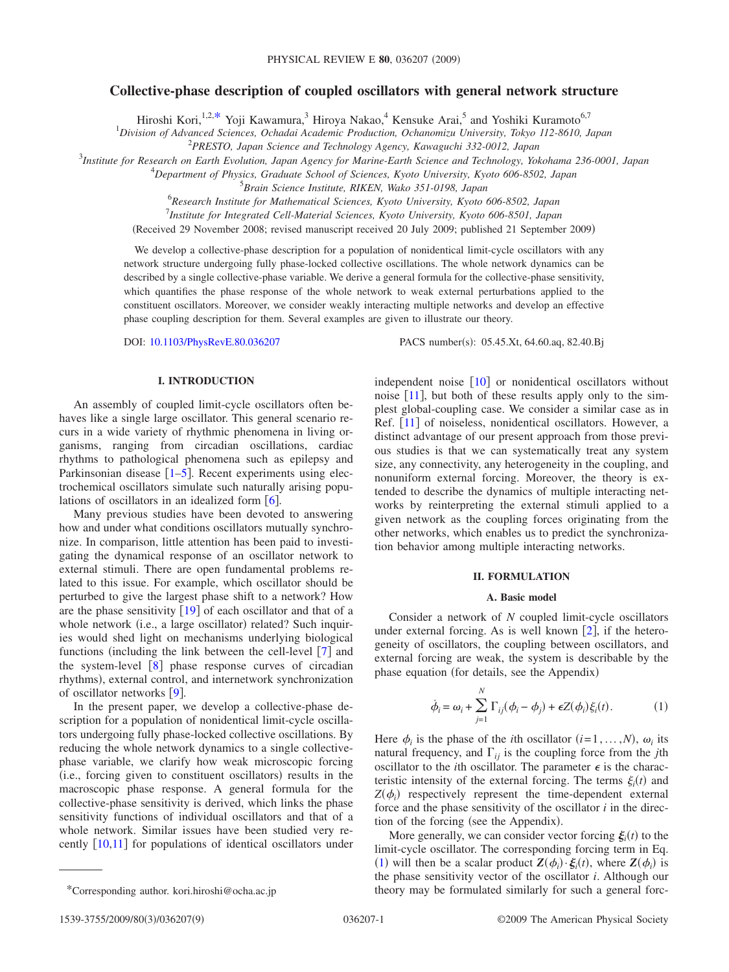# **Collective-phase description of coupled oscillators with general network structure**

Hiroshi Kori,<sup>1,2[,\\*](#page-0-0)</sup> Yoji Kawamura,<sup>3</sup> Hiroya Nakao,<sup>4</sup> Kensuke Arai,<sup>5</sup> and Yoshiki Kuramoto<sup>6,7</sup>

1 *Division of Advanced Sciences, Ochadai Academic Production, Ochanomizu University, Tokyo 112-8610, Japan*

2 *PRESTO, Japan Science and Technology Agency, Kawaguchi 332-0012, Japan*

3 *Institute for Research on Earth Evolution, Japan Agency for Marine-Earth Science and Technology, Yokohama 236-0001, Japan*

4 *Department of Physics, Graduate School of Sciences, Kyoto University, Kyoto 606-8502, Japan*

5 *Brain Science Institute, RIKEN, Wako 351-0198, Japan*

6 *Research Institute for Mathematical Sciences, Kyoto University, Kyoto 606-8502, Japan*

7 *Institute for Integrated Cell-Material Sciences, Kyoto University, Kyoto 606-8501, Japan*

Received 29 November 2008; revised manuscript received 20 July 2009; published 21 September 2009-

We develop a collective-phase description for a population of nonidentical limit-cycle oscillators with any network structure undergoing fully phase-locked collective oscillations. The whole network dynamics can be described by a single collective-phase variable. We derive a general formula for the collective-phase sensitivity, which quantifies the phase response of the whole network to weak external perturbations applied to the constituent oscillators. Moreover, we consider weakly interacting multiple networks and develop an effective phase coupling description for them. Several examples are given to illustrate our theory.

DOI: [10.1103/PhysRevE.80.036207](http://dx.doi.org/10.1103/PhysRevE.80.036207)

PACS number(s): 05.45.Xt, 64.60.aq, 82.40.Bj

# **I. INTRODUCTION**

An assembly of coupled limit-cycle oscillators often behaves like a single large oscillator. This general scenario recurs in a wide variety of rhythmic phenomena in living organisms, ranging from circadian oscillations, cardiac rhythms to pathological phenomena such as epilepsy and Parkinsonian disease  $\lceil 1-\overline{5} \rceil$  $\lceil 1-\overline{5} \rceil$  $\lceil 1-\overline{5} \rceil$ . Recent experiments using electrochemical oscillators simulate such naturally arising populations of oscillators in an idealized form  $[6]$  $[6]$  $[6]$ .

Many previous studies have been devoted to answering how and under what conditions oscillators mutually synchronize. In comparison, little attention has been paid to investigating the dynamical response of an oscillator network to external stimuli. There are open fundamental problems related to this issue. For example, which oscillator should be perturbed to give the largest phase shift to a network? How are the phase sensitivity  $\lceil 19 \rceil$  $\lceil 19 \rceil$  $\lceil 19 \rceil$  of each oscillator and that of a whole network (i.e., a large oscillator) related? Such inquiries would shed light on mechanisms underlying biological functions (including the link between the cell-level  $\lceil 7 \rceil$  $\lceil 7 \rceil$  $\lceil 7 \rceil$  and the system-level  $\begin{bmatrix} 8 \end{bmatrix}$  $\begin{bmatrix} 8 \end{bmatrix}$  $\begin{bmatrix} 8 \end{bmatrix}$  phase response curves of circadian rhythms), external control, and internetwork synchronization of oscillator networks  $[9]$  $[9]$  $[9]$ .

In the present paper, we develop a collective-phase description for a population of nonidentical limit-cycle oscillators undergoing fully phase-locked collective oscillations. By reducing the whole network dynamics to a single collectivephase variable, we clarify how weak microscopic forcing (i.e., forcing given to constituent oscillators) results in the macroscopic phase response. A general formula for the collective-phase sensitivity is derived, which links the phase sensitivity functions of individual oscillators and that of a whole network. Similar issues have been studied very recently  $\lceil 10,11 \rceil$  $\lceil 10,11 \rceil$  $\lceil 10,11 \rceil$  $\lceil 10,11 \rceil$  for populations of identical oscillators under independent noise  $\lceil 10 \rceil$  $\lceil 10 \rceil$  $\lceil 10 \rceil$  or nonidentical oscillators without noise  $[11]$  $[11]$  $[11]$ , but both of these results apply only to the simplest global-coupling case. We consider a similar case as in Ref. [[11](#page-7-7)] of noiseless, nonidentical oscillators. However, a distinct advantage of our present approach from those previous studies is that we can systematically treat any system size, any connectivity, any heterogeneity in the coupling, and nonuniform external forcing. Moreover, the theory is extended to describe the dynamics of multiple interacting networks by reinterpreting the external stimuli applied to a given network as the coupling forces originating from the other networks, which enables us to predict the synchronization behavior among multiple interacting networks.

#### **II. FORMULATION**

# **A. Basic model**

Consider a network of *N* coupled limit-cycle oscillators under external forcing. As is well known  $[2]$  $[2]$  $[2]$ , if the heterogeneity of oscillators, the coupling between oscillators, and external forcing are weak, the system is describable by the phase equation (for details, see the Appendix)

$$
\dot{\phi}_i = \omega_i + \sum_{j=1}^N \Gamma_{ij} (\phi_i - \phi_j) + \epsilon Z(\phi_i) \xi_i(t). \tag{1}
$$

<span id="page-0-1"></span>Here  $\phi_i$  is the phase of the *i*th oscillator  $(i=1,\ldots,N)$ ,  $\omega_i$  its natural frequency, and  $\Gamma_{ij}$  is the coupling force from the *j*th oscillator to the *i*th oscillator. The parameter  $\epsilon$  is the characteristic intensity of the external forcing. The terms  $\xi_i(t)$  and  $Z(\phi_i)$  respectively represent the time-dependent external force and the phase sensitivity of the oscillator *i* in the direction of the forcing (see the Appendix).

More generally, we can consider vector forcing  $\xi_i(t)$  to the limit-cycle oscillator. The corresponding forcing term in Eq. ([1](#page-0-1)) will then be a scalar product  $\mathbf{Z}(\phi_i) \cdot \xi_i(t)$ , where  $\mathbf{Z}(\phi_i)$  is the phase sensitivity vector of the oscillator *i*. Although our \*Corresponding author. kori.hiroshi@ocha.ac.jp theory may be formulated similarly for such a general forc-

<span id="page-0-0"></span>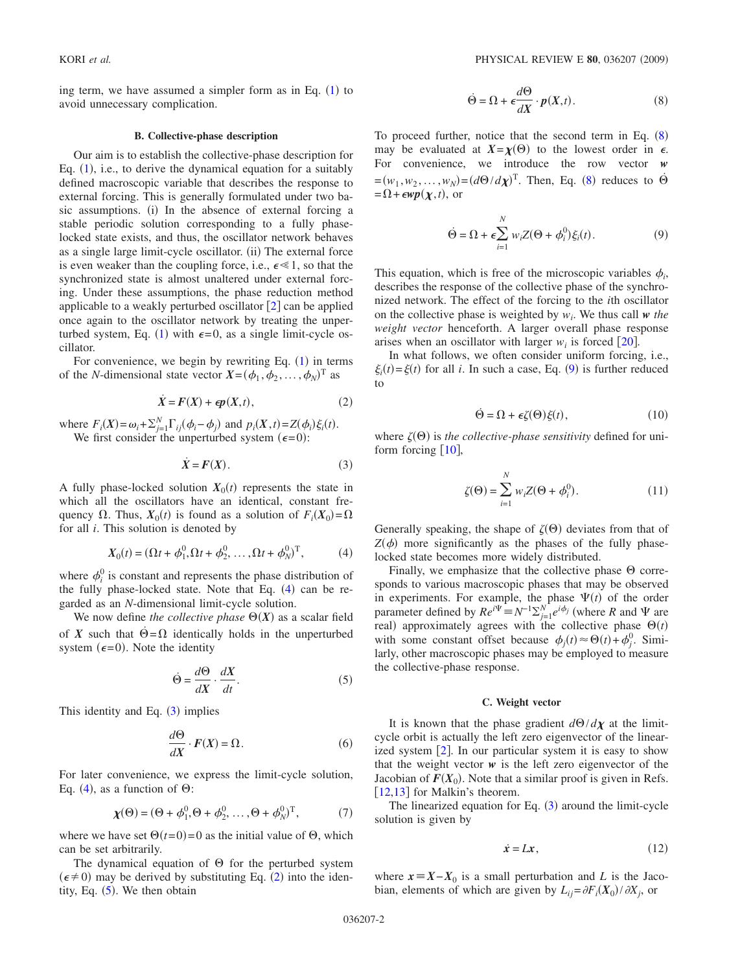ing term, we have assumed a simpler form as in Eq.  $(1)$  $(1)$  $(1)$  to avoid unnecessary complication.

# **B. Collective-phase description**

<span id="page-1-8"></span>Our aim is to establish the collective-phase description for Eq.  $(1)$  $(1)$  $(1)$ , i.e., to derive the dynamical equation for a suitably defined macroscopic variable that describes the response to external forcing. This is generally formulated under two basic assumptions. (i) In the absence of external forcing a stable periodic solution corresponding to a fully phaselocked state exists, and thus, the oscillator network behaves as a single large limit-cycle oscillator. (ii) The external force is even weaker than the coupling force, i.e.,  $\epsilon \ll 1$ , so that the synchronized state is almost unaltered under external forcing. Under these assumptions, the phase reduction method applicable to a weakly perturbed oscillator  $[2]$  $[2]$  $[2]$  can be applied once again to the oscillator network by treating the unper-turbed system, Eq. ([1](#page-0-1)) with  $\epsilon = 0$ , as a single limit-cycle oscillator.

For convenience, we begin by rewriting Eq.  $(1)$  $(1)$  $(1)$  in terms of the *N*-dimensional state vector  $X = (\phi_1, \phi_2, ..., \phi_N)^T$  as

$$
\dot{X} = F(X) + \epsilon p(X, t),\tag{2}
$$

<span id="page-1-2"></span>where  $F_i(X) = \omega_i + \sum_{j=1}^N \Gamma_{ij}(\phi_i - \phi_j)$  and  $p_i(X, t) = Z(\phi_i)\xi_i(t)$ . We first consider the unperturbed system  $(6=0)$ :

$$
\dot{X} = F(X). \tag{3}
$$

<span id="page-1-1"></span>A fully phase-locked solution  $X_0(t)$  represents the state in which all the oscillators have an identical, constant frequency  $\Omega$ . Thus,  $X_0(t)$  is found as a solution of  $F_i(X_0) = \Omega$ for all *i*. This solution is denoted by

$$
X_0(t) = (\Omega t + \phi_1^0, \Omega t + \phi_2^0, \dots, \Omega t + \phi_N^0)^{\mathrm{T}}, \tag{4}
$$

<span id="page-1-0"></span>where  $\phi_i^0$  is constant and represents the phase distribution of the fully phase-locked state. Note that Eq.  $(4)$  $(4)$  $(4)$  can be regarded as an *N*-dimensional limit-cycle solution.

We now define *the collective phase*  $\Theta(X)$  as a scalar field of *X* such that  $\Theta = \Omega$  identically holds in the unperturbed system ( $\epsilon = 0$ ). Note the identity

$$
\dot{\Theta} = \frac{d\Theta}{dX} \cdot \frac{dX}{dt}.
$$
 (5)

<span id="page-1-7"></span><span id="page-1-3"></span>This identity and Eq.  $(3)$  $(3)$  $(3)$  implies

$$
\frac{d\Theta}{dX} \cdot F(X) = \Omega.
$$
 (6)

For later convenience, we express the limit-cycle solution, Eq. ([4](#page-1-0)), as a function of  $\Theta$ :

$$
\boldsymbol{\chi}(\Theta) = (\Theta + \phi_1^0, \Theta + \phi_2^0, \dots, \Theta + \phi_N^0)^{\mathrm{T}},\tag{7}
$$

where we have set  $\Theta(t=0) = 0$  as the initial value of  $\Theta$ , which can be set arbitrarily.

The dynamical equation of  $\Theta$  for the perturbed system  $(\epsilon \neq 0)$  may be derived by substituting Eq. ([2](#page-1-2)) into the identity, Eq.  $(5)$  $(5)$  $(5)$ . We then obtain

$$
\dot{\Theta} = \Omega + \epsilon \frac{d\Theta}{dX} \cdot p(X, t). \tag{8}
$$

<span id="page-1-4"></span>To proceed further, notice that the second term in Eq.  $(8)$  $(8)$  $(8)$ may be evaluated at  $X = \chi(\Theta)$  to the lowest order in  $\epsilon$ . For convenience, we introduce the row vector *w*  $=(w_1, w_2, \dots, w_N) = (d\Theta/d\chi)^T$ . Then, Eq. ([8](#page-1-4)) reduces to  $\Theta$  $= \Omega + \epsilon \mathbf{w} \mathbf{p}(\boldsymbol{\chi}, t)$ , or

$$
\dot{\Theta} = \Omega + \epsilon \sum_{i=1}^{N} w_i Z(\Theta + \phi_i^0) \xi_i(t).
$$
 (9)

<span id="page-1-5"></span>This equation, which is free of the microscopic variables  $\phi_i$ , describes the response of the collective phase of the synchronized network. The effect of the forcing to the *i*th oscillator on the collective phase is weighted by  $w_i$ . We thus call  $w$  *the weight vector* henceforth. A larger overall phase response arises when an oscillator with larger  $w_i$  is forced  $[20]$  $[20]$  $[20]$ .

In what follows, we often consider uniform forcing, i.e.,  $\xi_i(t) = \xi(t)$  for all *i*. In such a case, Eq. ([9](#page-1-5)) is further reduced to

$$
\dot{\Theta} = \Omega + \epsilon \zeta(\Theta) \xi(t), \qquad (10)
$$

where  $\zeta(\Theta)$  is *the collective-phase sensitivity* defined for uniform forcing  $[10]$  $[10]$  $[10]$ ,

$$
\zeta(\Theta) = \sum_{i=1}^{N} w_i Z(\Theta + \phi_i^0). \tag{11}
$$

Generally speaking, the shape of  $\zeta(\Theta)$  deviates from that of  $Z(\phi)$  more significantly as the phases of the fully phaselocked state becomes more widely distributed.

Finally, we emphasize that the collective phase  $\Theta$  corresponds to various macroscopic phases that may be observed in experiments. For example, the phase  $\Psi(t)$  of the order parameter defined by  $Re^{i\Psi} \equiv N^{-1} \sum_{j=1}^{N} e^{i\phi_j}$  (where *R* and  $\Psi$  are real) approximately agrees with the collective phase  $\Theta(t)$ with some constant offset because  $\phi_j(t) \approx \Theta(t) + \phi_j^0$ . Similarly, other macroscopic phases may be employed to measure the collective-phase response.

#### **C. Weight vector**

<span id="page-1-9"></span>It is known that the phase gradient  $d\Theta/d\chi$  at the limitcycle orbit is actually the left zero eigenvector of the linearized system  $[2]$  $[2]$  $[2]$ . In our particular system it is easy to show that the weight vector  $w$  is the left zero eigenvector of the Jacobian of  $F(X_0)$ . Note that a similar proof is given in Refs.  $[12,13]$  $[12,13]$  $[12,13]$  $[12,13]$  for Malkin's theorem.

The linearized equation for Eq.  $(3)$  $(3)$  $(3)$  around the limit-cycle solution is given by

$$
\dot{x} = Lx, \tag{12}
$$

<span id="page-1-6"></span>where  $x \equiv X - X_0$  is a small perturbation and *L* is the Jacobian, elements of which are given by  $L_{ij} = \partial F_i(X_0) / \partial X_j$ , or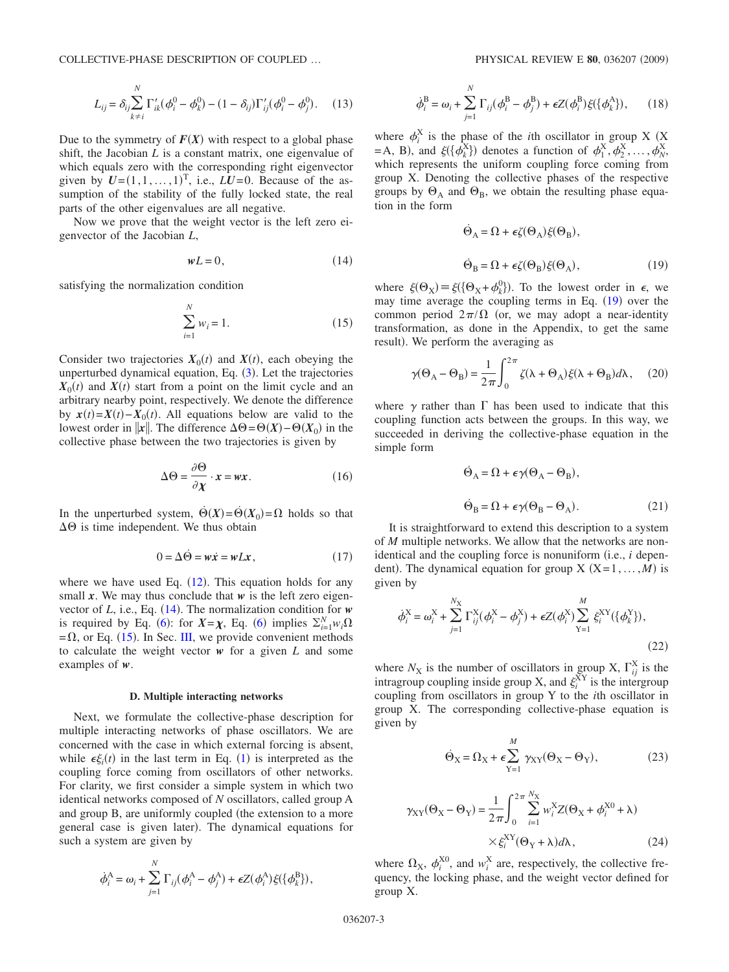<span id="page-2-3"></span>COLLECTIVE-PHASE DESCRIPTION OF COUPLED … PHYSICAL REVIEW E **80**, 036207 2009-

$$
L_{ij} = \delta_{ij} \sum_{k \neq i}^{N} \Gamma'_{ik} (\phi_i^0 - \phi_k^0) - (1 - \delta_{ij}) \Gamma'_{ij} (\phi_i^0 - \phi_j^0). \tag{13}
$$

Due to the symmetry of  $F(X)$  with respect to a global phase shift, the Jacobian *L* is a constant matrix, one eigenvalue of which equals zero with the corresponding right eigenvector given by  $U = (1, 1, \dots, 1)^T$ , i.e.,  $LU = 0$ . Because of the assumption of the stability of the fully locked state, the real parts of the other eigenvalues are all negative.

Now we prove that the weight vector is the left zero eigenvector of the Jacobian *L*,

$$
wL = 0,\t(14)
$$

<span id="page-2-1"></span><span id="page-2-0"></span>satisfying the normalization condition

$$
\sum_{i=1}^{N} w_i = 1.
$$
 (15)

Consider two trajectories  $X_0(t)$  and  $X(t)$ , each obeying the unperturbed dynamical equation, Eq. ([3](#page-1-1)). Let the trajectories  $X_0(t)$  and  $X(t)$  start from a point on the limit cycle and an arbitrary nearby point, respectively. We denote the difference by  $x(t) = X(t) - X_0(t)$ . All equations below are valid to the lowest order in  $\|\mathbf{x}\|$ . The difference  $\Delta \Theta = \Theta(X) - \Theta(X_0)$  in the collective phase between the two trajectories is given by

$$
\Delta \Theta = \frac{\partial \Theta}{\partial \chi} \cdot x = wx.
$$
 (16)

In the unperturbed system,  $\dot{\Theta}(X) = \dot{\Theta}(X_0) = \Omega$  holds so that  $\Delta\Theta$  is time independent. We thus obtain

$$
0 = \Delta \dot{\Theta} = w\dot{x} = wLx, \qquad (17)
$$

where we have used Eq.  $(12)$  $(12)$  $(12)$ . This equation holds for any small  $x$ . We may thus conclude that  $w$  is the left zero eigenvector of  $L$ , i.e., Eq.  $(14)$  $(14)$  $(14)$ . The normalization condition for *w* is required by Eq. ([6](#page-1-7)): for  $X = \chi$ , Eq. (6) implies  $\sum_{i=1}^{N} w_i \Omega$  $=$   $\Omega$ , or Eq. ([15](#page-2-1)). In Sec. [III,](#page-3-0) we provide convenient methods to calculate the weight vector *w* for a given *L* and some examples of *w*.

#### **D. Multiple interacting networks**

Next, we formulate the collective-phase description for multiple interacting networks of phase oscillators. We are concerned with the case in which external forcing is absent, while  $\epsilon \xi_i(t)$  in the last term in Eq. ([1](#page-0-1)) is interpreted as the coupling force coming from oscillators of other networks. For clarity, we first consider a simple system in which two identical networks composed of *N* oscillators, called group A and group B, are uniformly coupled (the extension to a more general case is given later). The dynamical equations for such a system are given by

<span id="page-2-4"></span>
$$
\dot{\phi}_i^{\mathbf{A}} = \omega_i + \sum_{j=1}^N \Gamma_{ij} (\phi_i^{\mathbf{A}} - \phi_j^{\mathbf{A}}) + \epsilon Z(\phi_i^{\mathbf{A}}) \xi(\{\phi_k^{\mathbf{B}}\}),
$$

$$
\dot{\phi}_i^{\text{B}} = \omega_i + \sum_{j=1}^{N} \Gamma_{ij} (\phi_i^{\text{B}} - \phi_j^{\text{B}}) + \epsilon Z (\phi_i^{\text{B}}) \xi (\{\phi_k^{\text{A}}\}), \qquad (18)
$$

where  $\phi_i^X$  is the phase of the *i*th oscillator in group X (X  $A = A$ , B), and  $\xi({\phi_k^X})$  denotes a function of  $\phi_1^X$ ,  $\phi_2^X$ , ...,  $\phi_N^X$ which represents the uniform coupling force coming from group X. Denoting the collective phases of the respective groups by  $\Theta_A$  and  $\Theta_B$ , we obtain the resulting phase equation in the form

$$
\dot{\Theta}_{A} = \Omega + \epsilon \zeta(\Theta_{A}) \xi(\Theta_{B}),
$$
  

$$
\dot{\Theta}_{B} = \Omega + \epsilon \zeta(\Theta_{B}) \xi(\Theta_{A}),
$$
 (19)

<span id="page-2-2"></span>where  $\xi(\Theta_X) = \xi(\{\Theta_X + \phi_k^0\})$ . To the lowest order in  $\epsilon$ , we may time average the coupling terms in Eq.  $(19)$  $(19)$  $(19)$  over the common period  $2\pi/\Omega$  (or, we may adopt a near-identity transformation, as done in the Appendix, to get the same result). We perform the averaging as

<span id="page-2-5"></span>
$$
\gamma(\Theta_A - \Theta_B) = \frac{1}{2\pi} \int_0^{2\pi} \zeta(\lambda + \Theta_A) \xi(\lambda + \Theta_B) d\lambda, \quad (20)
$$

where  $\gamma$  rather than  $\Gamma$  has been used to indicate that this coupling function acts between the groups. In this way, we succeeded in deriving the collective-phase equation in the simple form

$$
\dot{\Theta}_{A} = \Omega + \epsilon \gamma (\Theta_{A} - \Theta_{B}),
$$
  

$$
\dot{\Theta}_{B} = \Omega + \epsilon \gamma (\Theta_{B} - \Theta_{A}).
$$
 (21)

It is straightforward to extend this description to a system of *M* multiple networks. We allow that the networks are nonidentical and the coupling force is nonuniform (i.e., *i* dependent). The dynamical equation for group  $X$  ( $X=1,...,M$ ) is given by

$$
\dot{\phi}_i^X = \omega_i^X + \sum_{j=1}^{N_X} \Gamma_{ij}^X (\phi_i^X - \phi_j^X) + \epsilon Z(\phi_i^X) \sum_{Y=1}^{M} \xi_i^{XY} (\{\phi_k^Y\}),
$$
\n(22)

where  $N_X$  is the number of oscillators in group X,  $\Gamma_{ij}^X$  is the intragroup coupling inside group X, and  $\xi_i^{XY}$  is the intergroup coupling from oscillators in group Y to the *i*th oscillator in group X. The corresponding collective-phase equation is given by

$$
\dot{\Theta}_{X} = \Omega_{X} + \epsilon \sum_{Y=1}^{M} \gamma_{XY} (\Theta_{X} - \Theta_{Y}), \qquad (23)
$$

$$
\gamma_{XY}(\Theta_X - \Theta_Y) = \frac{1}{2\pi} \int_0^{2\pi} \sum_{i=1}^{N_X} w_i^X Z(\Theta_X + \phi_i^{X0} + \lambda)
$$

$$
\times \xi_i^{XY}(\Theta_Y + \lambda) d\lambda, \qquad (24)
$$

where  $\Omega_X$ ,  $\phi_i^{X0}$ , and  $w_i^X$  are, respectively, the collective frequency, the locking phase, and the weight vector defined for group X.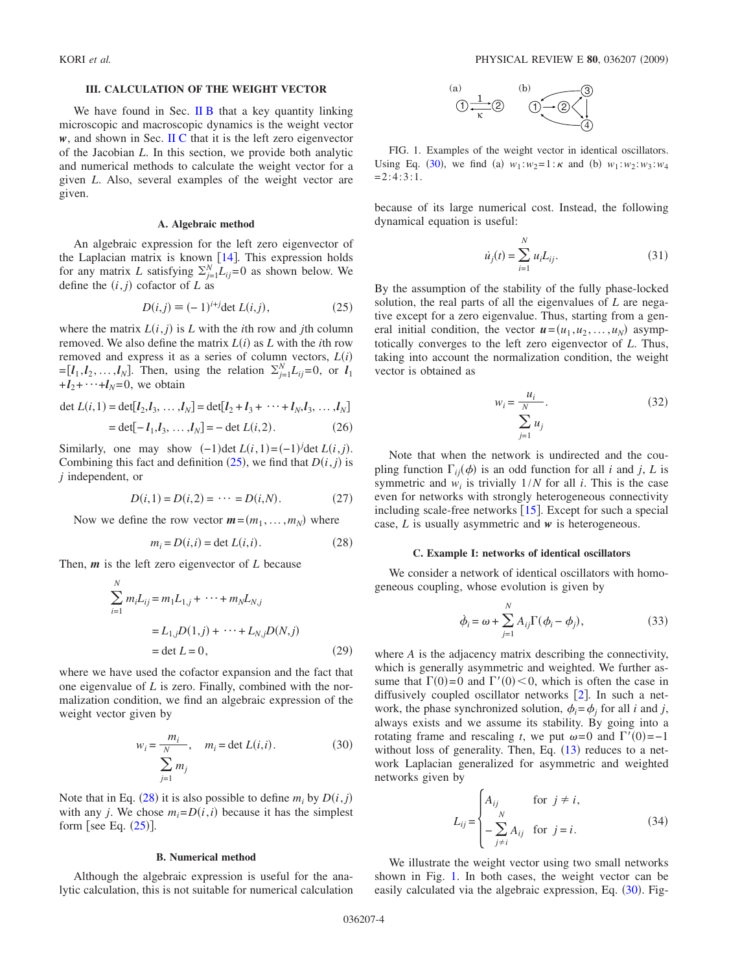#### **III. CALCULATION OF THE WEIGHT VECTOR**

<span id="page-3-0"></span>We have found in Sec.  $\mathbf{I} \mathbf{I} \mathbf{B}$  that a key quantity linking microscopic and macroscopic dynamics is the weight vector *w*, and shown in Sec. [II C](#page-1-9) that it is the left zero eigenvector of the Jacobian *L*. In this section, we provide both analytic and numerical methods to calculate the weight vector for a given *L*. Also, several examples of the weight vector are given.

#### **A. Algebraic method**

An algebraic expression for the left zero eigenvector of the Laplacian matrix is known  $[14]$  $[14]$  $[14]$ . This expression holds for any matrix *L* satisfying  $\sum_{j=1}^{N} L_{ij} = 0$  as shown below. We define the  $(i, j)$  cofactor of  $L$  as

$$
D(i,j) \equiv (-1)^{i+j} \det L(i,j), \tag{25}
$$

<span id="page-3-1"></span>where the matrix  $L(i, j)$  is  $L$  with the *i*th row and *j*th column removed. We also define the matrix  $L(i)$  as  $L$  with the *i*th row removed and express it as a series of column vectors,  $L(i)$  $=[l_1, l_2, \ldots, l_N]$ . Then, using the relation  $\Sigma_{j=1}^N L_{ij}=0$ , or  $l_1$  $+**l**<sub>2</sub>+···+**l**<sub>N</sub>=0$ , we obtain

$$
\det L(i,1) = \det [I_2, I_3, \dots, I_N] = \det [I_2 + I_3 + \dots + I_N, I_3, \dots, I_N]
$$

$$
= det[-l1,l3,...,lN] = - det L(i,2).
$$
 (26)

Similarly, one may show  $(-1)$  det  $L(i, 1) = (-1)^j$  det  $L(i, j)$ . Combining this fact and definition  $(25)$  $(25)$  $(25)$ , we find that  $D(i, j)$  is *j* independent, or

$$
D(i,1) = D(i,2) = \dots = D(i,N). \tag{27}
$$

<span id="page-3-2"></span>Now we define the row vector  $m = (m_1, \ldots, m_N)$  where

$$
m_i = D(i,i) = \det L(i,i).
$$
 (28)

Then, *m* is the left zero eigenvector of *L* because

$$
\sum_{i=1}^{N} m_i L_{ij} = m_1 L_{1,j} + \dots + m_N L_{N,j}
$$
  
=  $L_{1,j} D(1,j) + \dots + L_{N,j} D(N,j)$   
= det  $L = 0$ , (29)

<span id="page-3-4"></span>where we have used the cofactor expansion and the fact that one eigenvalue of *L* is zero. Finally, combined with the normalization condition, we find an algebraic expression of the weight vector given by

$$
w_i = \frac{m_i}{N}, \quad m_i = \det L(i, i). \tag{30}
$$

$$
\sum_{j=1}^{N} m_j
$$

Note that in Eq. ([28](#page-3-2)) it is also possible to define  $m_i$  by  $D(i, j)$ with any *j*. We chose  $m_i = D(i, i)$  because it has the simplest form [see Eq.  $(25)$  $(25)$  $(25)$ ].

#### **B. Numerical method**

Although the algebraic expression is useful for the analytic calculation, this is not suitable for numerical calculation



<span id="page-3-3"></span>FIG. 1. Examples of the weight vector in identical oscillators. Using Eq. ([30](#page-3-4)), we find (a)  $w_1 : w_2 = 1 : \kappa$  and (b)  $w_1 : w_2 : w_3 : w_4$  $=2:4:3:1$ .

<span id="page-3-5"></span>because of its large numerical cost. Instead, the following dynamical equation is useful:

$$
\dot{u}_j(t) = \sum_{i=1}^{N} u_i L_{ij}.
$$
\n(31)

By the assumption of the stability of the fully phase-locked solution, the real parts of all the eigenvalues of *L* are negative except for a zero eigenvalue. Thus, starting from a general initial condition, the vector  $u = (u_1, u_2, \dots, u_N)$  asymptotically converges to the left zero eigenvector of *L*. Thus, taking into account the normalization condition, the weight vector is obtained as

$$
w_i = \frac{u_i}{\sum_{j=1}^{N} u_j}.
$$
\n(32)

<span id="page-3-6"></span>Note that when the network is undirected and the coupling function  $\Gamma_{ij}(\phi)$  is an odd function for all *i* and *j*, *L* is symmetric and  $w_i$  is trivially  $1/N$  for all *i*. This is the case even for networks with strongly heterogeneous connectivity including scale-free networks  $[15]$  $[15]$  $[15]$ . Except for such a special case, *L* is usually asymmetric and *w* is heterogeneous.

#### **C. Example I: networks of identical oscillators**

We consider a network of identical oscillators with homogeneous coupling, whose evolution is given by

$$
\dot{\phi}_i = \omega + \sum_{j=1}^{N} A_{ij} \Gamma(\phi_i - \phi_j), \qquad (33)
$$

where *A* is the adjacency matrix describing the connectivity, which is generally asymmetric and weighted. We further assume that  $\Gamma(0)=0$  and  $\Gamma'(0) < 0$ , which is often the case in diffusively coupled oscillator networks  $[2]$  $[2]$  $[2]$ . In such a network, the phase synchronized solution,  $\phi_i = \phi_i$  for all *i* and *j*, always exists and we assume its stability. By going into a rotating frame and rescaling *t*, we put  $\omega = 0$  and  $\Gamma'(0) = -1$ without loss of generality. Then, Eq.  $(13)$  $(13)$  $(13)$  reduces to a network Laplacian generalized for asymmetric and weighted networks given by

$$
L_{ij} = \begin{cases} A_{ij} & \text{for } j \neq i, \\ -\sum_{j \neq i} A_{ij} & \text{for } j = i. \end{cases}
$$
 (34)

We illustrate the weight vector using two small networks shown in Fig. [1.](#page-3-3) In both cases, the weight vector can be easily calculated via the algebraic expression, Eq. ([30](#page-3-4)). Fig-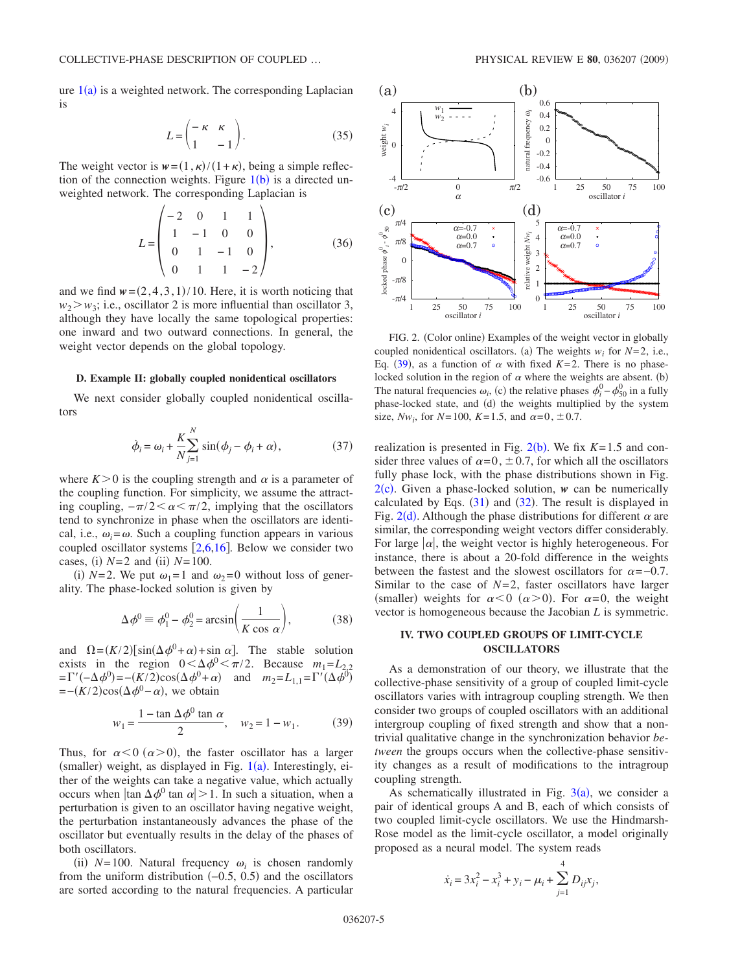ure  $1(a)$  $1(a)$  is a weighted network. The corresponding Laplacian is

$$
L = \begin{pmatrix} -\kappa & \kappa \\ 1 & -1 \end{pmatrix}.
$$
 (35)

The weight vector is  $w = (1, \kappa) / (1 + \kappa)$ , being a simple reflection of the connection weights. Figure  $1(b)$  $1(b)$  is a directed unweighted network. The corresponding Laplacian is

$$
L = \begin{pmatrix} -2 & 0 & 1 & 1 \\ 1 & -1 & 0 & 0 \\ 0 & 1 & -1 & 0 \\ 0 & 1 & 1 & -2 \end{pmatrix},
$$
 (36)

and we find  $w = (2, 4, 3, 1) / 10$ . Here, it is worth noticing that  $w_2 > w_3$ ; i.e., oscillator 2 is more influential than oscillator 3, although they have locally the same topological properties: one inward and two outward connections. In general, the weight vector depends on the global topology.

#### **D. Example II: globally coupled nonidentical oscillators**

We next consider globally coupled nonidentical oscillators

$$
\dot{\phi}_i = \omega_i + \frac{K}{N} \sum_{j=1}^{N} \sin(\phi_j - \phi_i + \alpha), \tag{37}
$$

where  $K>0$  is the coupling strength and  $\alpha$  is a parameter of the coupling function. For simplicity, we assume the attracting coupling,  $-\pi/2 < \alpha < \pi/2$ , implying that the oscillators tend to synchronize in phase when the oscillators are identical, i.e.,  $\omega_i = \omega$ . Such a coupling function appears in various coupled oscillator systems  $\lceil 2,6,16 \rceil$  $\lceil 2,6,16 \rceil$  $\lceil 2,6,16 \rceil$  $\lceil 2,6,16 \rceil$  $\lceil 2,6,16 \rceil$ . Below we consider two cases, (i)  $N=2$  and (ii)  $N=100$ .

(i)  $N=2$ . We put  $\omega_1 = 1$  and  $\omega_2 = 0$  without loss of generality. The phase-locked solution is given by

$$
\Delta \phi^0 \equiv \phi_1^0 - \phi_2^0 = \arcsin\left(\frac{1}{K\cos\alpha}\right),\tag{38}
$$

and  $\Omega = (K/2)[\sin(\Delta \phi^0 + \alpha) + \sin \alpha]$ . The stable solution exists in the region  $0 < \Delta \phi^0 < \pi/2$ . Because  $m_1 = L_{2,2}$  $=\Gamma'(-\Delta \phi^0) = -(K/2)\cos(\Delta \phi^0 + \alpha)$  and  $m_2 = L_{1,1} = \Gamma'(\Delta \phi^0)$  $= -(K/2)\cos(\Delta\phi^0 - \alpha)$ , we obtain

$$
w_1 = \frac{1 - \tan \Delta \phi^0 \tan \alpha}{2}, \quad w_2 = 1 - w_1. \tag{39}
$$

<span id="page-4-1"></span>Thus, for  $\alpha < 0$  ( $\alpha > 0$ ), the faster oscillator has a larger (smaller) weight, as displayed in Fig.  $1(a)$  $1(a)$ . Interestingly, either of the weights can take a negative value, which actually occurs when  $|\tan \Delta \phi^0 \tan \alpha| > 1$ . In such a situation, when a perturbation is given to an oscillator having negative weight, the perturbation instantaneously advances the phase of the oscillator but eventually results in the delay of the phases of both oscillators.

(ii)  $N=100$ . Natural frequency  $\omega_i$  is chosen randomly from the uniform distribution  $(-0.5, 0.5)$  and the oscillators are sorted according to the natural frequencies. A particular

<span id="page-4-0"></span>

FIG. 2. (Color online) Examples of the weight vector in globally coupled nonidentical oscillators. (a) The weights  $w_i$  for  $N=2$ , i.e., Eq. ([39](#page-4-1)), as a function of  $\alpha$  with fixed *K*=2. There is no phaselocked solution in the region of  $\alpha$  where the weights are absent. (b) The natural frequencies  $\omega_i$ , (c) the relative phases  $\phi_i^0 - \phi_{50}^0$  in a fully phase-locked state, and (d) the weights multiplied by the system size,  $Nw_i$ , for  $N=100$ ,  $K=1.5$ , and  $\alpha=0, \pm 0.7$ .

realization is presented in Fig.  $2(b)$  $2(b)$ . We fix  $K=1.5$  and consider three values of  $\alpha = 0, \pm 0.7$ , for which all the oscillators fully phase lock, with the phase distributions shown in Fig.  $2(c)$  $2(c)$ . Given a phase-locked solution, *w* can be numerically calculated by Eqs.  $(31)$  $(31)$  $(31)$  and  $(32)$  $(32)$  $(32)$ . The result is displayed in Fig. [2](#page-4-0)(d). Although the phase distributions for different  $\alpha$  are similar, the corresponding weight vectors differ considerably. For large  $|\alpha|$ , the weight vector is highly heterogeneous. For instance, there is about a 20-fold difference in the weights between the fastest and the slowest oscillators for  $\alpha = -0.7$ . Similar to the case of *N*=2, faster oscillators have larger (smaller) weights for  $\alpha < 0$  ( $\alpha > 0$ ). For  $\alpha = 0$ , the weight vector is homogeneous because the Jacobian *L* is symmetric.

# **IV. TWO COUPLED GROUPS OF LIMIT-CYCLE OSCILLATORS**

As a demonstration of our theory, we illustrate that the collective-phase sensitivity of a group of coupled limit-cycle oscillators varies with intragroup coupling strength. We then consider two groups of coupled oscillators with an additional intergroup coupling of fixed strength and show that a nontrivial qualitative change in the synchronization behavior *between* the groups occurs when the collective-phase sensitivity changes as a result of modifications to the intragroup coupling strength.

As schematically illustrated in Fig.  $3(a)$  $3(a)$ , we consider a pair of identical groups A and B, each of which consists of two coupled limit-cycle oscillators. We use the Hindmarsh-Rose model as the limit-cycle oscillator, a model originally proposed as a neural model. The system reads

<span id="page-4-2"></span>
$$
\dot{x}_i = 3x_i^2 - x_i^3 + y_i - \mu_i + \sum_{j=1}^4 D_{ij}x_j,
$$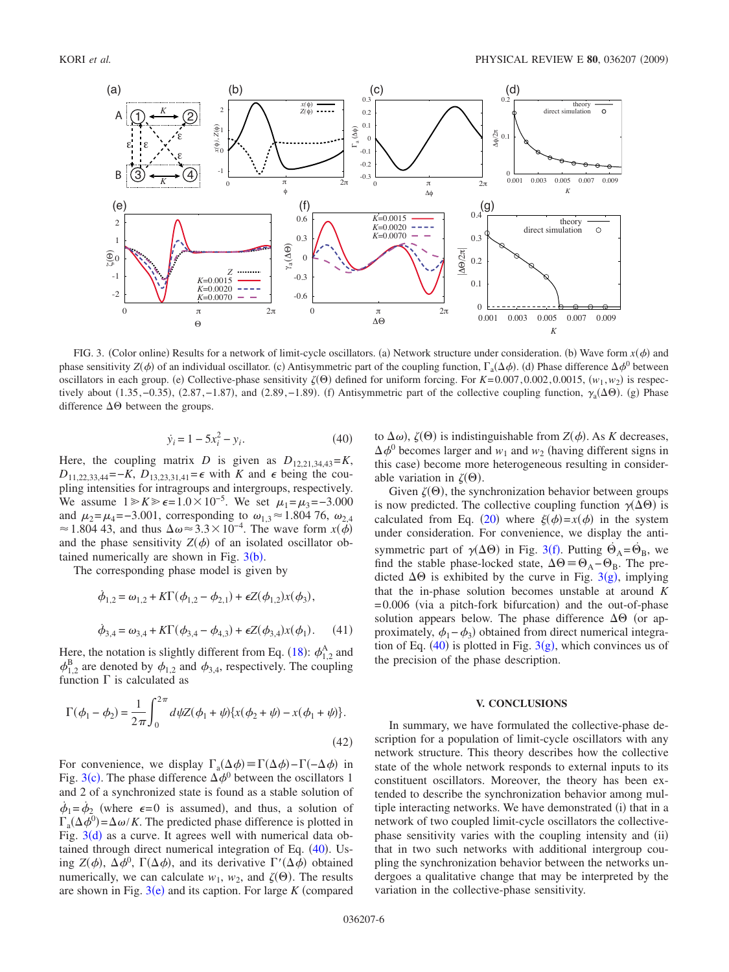<span id="page-5-0"></span>

FIG. 3. (Color online) Results for a network of limit-cycle oscillators. (a) Network structure under consideration. (b) Wave form  $x(\phi)$  and phase sensitivity  $Z(\phi)$  of an individual oscillator. (c) Antisymmetric part of the coupling function,  $\Gamma_a(\Delta \phi)$ . (d) Phase difference  $\Delta \phi^0$  between oscillators in each group. (e) Collective-phase sensitivity  $\zeta(\Theta)$  defined for uniform forcing. For *K*=0.007, 0.002, 0.0015,  $(w_1, w_2)$  is respectively about  $(1.35, -0.35)$ ,  $(2.87, -1.87)$ , and  $(2.89, -1.89)$ . (f) Antisymmetric part of the collective coupling function,  $\gamma_a(\Delta\Theta)$ . (g) Phase difference  $\Delta\Theta$  between the groups.

$$
\dot{y}_i = 1 - 5x_i^2 - y_i. \tag{40}
$$

Here, the coupling matrix *D* is given as  $D_{12,21,34,43} = K$ , *D*<sub>11,22,33,44</sub>=−*K*, *D*<sub>13,23,31,41</sub>=  $\epsilon$  with *K* and  $\epsilon$  being the coupling intensities for intragroups and intergroups, respectively. We assume  $1 \ge K \ge \epsilon = 1.0 \times 10^{-5}$ . We set  $\mu_1 = \mu_3 = -3.000$ and  $\mu_2 = \mu_4 = -3.001$ , corresponding to  $\omega_{1,3} \approx 1.804$  76,  $\omega_{2,4}$ ≈ 1.804 43, and thus  $\Delta \omega$ ≈ 3.3 × 10<sup>-4</sup>. The wave form *x*( $\phi$ ) and the phase sensitivity  $Z(\phi)$  of an isolated oscillator obtained numerically are shown in Fig.  $3(b)$  $3(b)$ .

The corresponding phase model is given by

$$
\dot{\phi}_{1,2} = \omega_{1,2} + K\Gamma(\phi_{1,2} - \phi_{2,1}) + \epsilon Z(\phi_{1,2})x(\phi_3),
$$
  

$$
\dot{\phi}_{3,4} = \omega_{3,4} + K\Gamma(\phi_{3,4} - \phi_{4,3}) + \epsilon Z(\phi_{3,4})x(\phi_1).
$$
 (41)

Here, the notation is slightly different from Eq. ([18](#page-2-4)):  $\phi_{1,2}^{A}$  and  $\phi_{1,2}^{B}$  are denoted by  $\phi_{1,2}$  and  $\phi_{3,4}$ , respectively. The coupling function  $\Gamma$  is calculated as

$$
\Gamma(\phi_1 - \phi_2) = \frac{1}{2\pi} \int_0^{2\pi} d\psi Z(\phi_1 + \psi) \{x(\phi_2 + \psi) - x(\phi_1 + \psi)\}.
$$
\n(42)

For convenience, we display  $\Gamma_a(\Delta \phi) = \Gamma(\Delta \phi) - \Gamma(-\Delta \phi)$  in Fig. [3](#page-5-0)(c). The phase difference  $\Delta \phi^0$  between the oscillators 1 and 2 of a synchronized state is found as a stable solution of  $\dot{\phi}_1 = \dot{\phi}_2$  (where  $\epsilon = 0$  is assumed), and thus, a solution of  $\Gamma_a(\Delta \phi^0) = \Delta \omega / K$ . The predicted phase difference is plotted in Fig.  $3(d)$  $3(d)$  as a curve. It agrees well with numerical data obtained through direct numerical integration of Eq.  $(40)$  $(40)$  $(40)$ . Using  $Z(\phi)$ ,  $\Delta \phi^0$ ,  $\Gamma(\Delta \phi)$ , and its derivative  $\Gamma'(\Delta \phi)$  obtained numerically, we can calculate  $w_1$ ,  $w_2$ , and  $\zeta(\Theta)$ . The results are shown in Fig.  $3(e)$  $3(e)$  and its caption. For large  $K$  (compared

to  $\Delta\omega$ ),  $\zeta(\Theta)$  is indistinguishable from  $Z(\phi)$ . As *K* decreases,  $\Delta \phi^0$  becomes larger and  $w_1$  and  $w_2$  (having different signs in this case) become more heterogeneous resulting in considerable variation in  $\zeta(\Theta)$ .

Given  $\zeta(\Theta)$ , the synchronization behavior between groups is now predicted. The collective coupling function  $\gamma(\Delta\Theta)$  is calculated from Eq. ([20](#page-2-5)) where  $\xi(\phi) = x(\phi)$  in the system under consideration. For convenience, we display the antisymmetric part of  $\gamma(\Delta\Theta)$  in Fig. [3](#page-5-0)(f). Putting  $\dot{\Theta}_A = \dot{\Theta}_B$ , we find the stable phase-locked state,  $\Delta \Theta = \Theta_A - \Theta_B$ . The predicted  $\Delta\Theta$  is exhibited by the curve in Fig. [3](#page-5-0)(g), implying that the in-phase solution becomes unstable at around *K* = 0.006 (via a pitch-fork bifurcation) and the out-of-phase solution appears below. The phase difference  $\Delta\Theta$  (or approximately,  $\phi_1 - \phi_3$ ) obtained from direct numerical integration of Eq.  $(40)$  $(40)$  $(40)$  is plotted in Fig. [3](#page-5-0) $(g)$ , which convinces us of the precision of the phase description.

# **V. CONCLUSIONS**

In summary, we have formulated the collective-phase description for a population of limit-cycle oscillators with any network structure. This theory describes how the collective state of the whole network responds to external inputs to its constituent oscillators. Moreover, the theory has been extended to describe the synchronization behavior among multiple interacting networks. We have demonstrated (i) that in a network of two coupled limit-cycle oscillators the collectivephase sensitivity varies with the coupling intensity and (ii) that in two such networks with additional intergroup coupling the synchronization behavior between the networks undergoes a qualitative change that may be interpreted by the variation in the collective-phase sensitivity.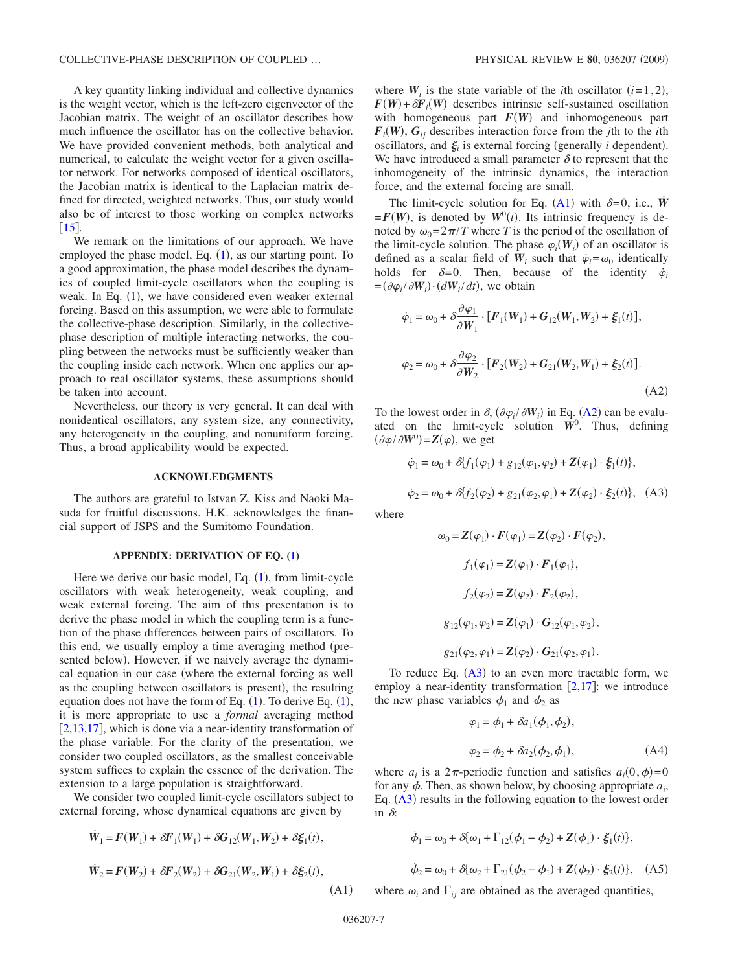A key quantity linking individual and collective dynamics is the weight vector, which is the left-zero eigenvector of the Jacobian matrix. The weight of an oscillator describes how much influence the oscillator has on the collective behavior. We have provided convenient methods, both analytical and numerical, to calculate the weight vector for a given oscillator network. For networks composed of identical oscillators, the Jacobian matrix is identical to the Laplacian matrix defined for directed, weighted networks. Thus, our study would also be of interest to those working on complex networks  $[15]$  $[15]$  $[15]$ .

We remark on the limitations of our approach. We have employed the phase model, Eq.  $(1)$  $(1)$  $(1)$ , as our starting point. To a good approximation, the phase model describes the dynamics of coupled limit-cycle oscillators when the coupling is weak. In Eq.  $(1)$  $(1)$  $(1)$ , we have considered even weaker external forcing. Based on this assumption, we were able to formulate the collective-phase description. Similarly, in the collectivephase description of multiple interacting networks, the coupling between the networks must be sufficiently weaker than the coupling inside each network. When one applies our approach to real oscillator systems, these assumptions should be taken into account.

Nevertheless, our theory is very general. It can deal with nonidentical oscillators, any system size, any connectivity, any heterogeneity in the coupling, and nonuniform forcing. Thus, a broad applicability would be expected.

#### **ACKNOWLEDGMENTS**

The authors are grateful to Istvan Z. Kiss and Naoki Masuda for fruitful discussions. H.K. acknowledges the financial support of JSPS and the Sumitomo Foundation.

# **APPENDIX: DERIVATION OF EQ. [\(1\)](#page-0-1)**

Here we derive our basic model, Eq. ([1](#page-0-1)), from limit-cycle oscillators with weak heterogeneity, weak coupling, and weak external forcing. The aim of this presentation is to derive the phase model in which the coupling term is a function of the phase differences between pairs of oscillators. To this end, we usually employ a time averaging method (presented below). However, if we naively average the dynamical equation in our case (where the external forcing as well as the coupling between oscillators is present), the resulting equation does not have the form of Eq.  $(1)$  $(1)$  $(1)$ . To derive Eq.  $(1)$ , it is more appropriate to use a *formal* averaging method  $[2,13,17]$  $[2,13,17]$  $[2,13,17]$  $[2,13,17]$  $[2,13,17]$ , which is done via a near-identity transformation of the phase variable. For the clarity of the presentation, we consider two coupled oscillators, as the smallest conceivable system suffices to explain the essence of the derivation. The extension to a large population is straightforward.

We consider two coupled limit-cycle oscillators subject to external forcing, whose dynamical equations are given by

<span id="page-6-0"></span>
$$
\dot{W}_1 = F(W_1) + \delta F_1(W_1) + \delta G_{12}(W_1, W_2) + \delta \xi_1(t),
$$

$$
\dot{W}_2 = F(W_2) + \delta F_2(W_2) + \delta G_{21}(W_2, W_1) + \delta \xi_2(t),
$$
\n(A1)

where  $W_i$  is the state variable of the *i*th oscillator  $(i=1,2)$ ,  $F(W) + \delta F_i(W)$  describes intrinsic self-sustained oscillation with homogeneous part  $F(W)$  and inhomogeneous part  $F_i(W)$ ,  $G_{ij}$  describes interaction force from the *j*th to the *i*th oscillators, and  $\xi$  is external forcing (generally *i* dependent). We have introduced a small parameter  $\delta$  to represent that the inhomogeneity of the intrinsic dynamics, the interaction force, and the external forcing are small.

The limit-cycle solution for Eq. ([A1](#page-6-0)) with  $\delta = 0$ , i.e., *W*<sup>*i*</sup>  $= F(W)$ , is denoted by  $W^0(t)$ . Its intrinsic frequency is denoted by  $\omega_0 = 2\pi/T$  where *T* is the period of the oscillation of the limit-cycle solution. The phase  $\varphi_i(\mathbf{W}_i)$  of an oscillator is defined as a scalar field of  $W_i$  such that  $\dot{\varphi}_i = \omega_0$  identically holds for  $\delta = 0$ . Then, because of the identity  $\dot{\varphi}_i$  $=(\partial \varphi_i / \partial W_i) \cdot (dW_i / dt)$ , we obtain

<span id="page-6-1"></span>
$$
\dot{\varphi}_1 = \omega_0 + \delta \frac{\partial \varphi_1}{\partial W_1} \cdot [F_1(W_1) + G_{12}(W_1, W_2) + \xi_1(t)],
$$
  

$$
\dot{\varphi}_2 = \omega_0 + \delta \frac{\partial \varphi_2}{\partial W_2} \cdot [F_2(W_2) + G_{21}(W_2, W_1) + \xi_2(t)].
$$
  
(A2)

To the lowest order in  $\delta$ ,  $(\partial \varphi_i / \partial W_i)$  in Eq. ([A2](#page-6-1)) can be evaluated on the limit-cycle solution *W*<sup>0</sup> . Thus, defining  $(\partial \varphi / \partial W^0) = Z(\varphi)$ , we get

<span id="page-6-2"></span>
$$
\dot{\varphi}_1 = \omega_0 + \delta \{ f_1(\varphi_1) + g_{12}(\varphi_1, \varphi_2) + \mathbf{Z}(\varphi_1) \cdot \xi_1(t) \},
$$
  

$$
\dot{\varphi}_2 = \omega_0 + \delta \{ f_2(\varphi_2) + g_{21}(\varphi_2, \varphi_1) + \mathbf{Z}(\varphi_2) \cdot \xi_2(t) \}, \quad (A3)
$$

where

$$
\omega_0 = \mathbf{Z}(\varphi_1) \cdot \mathbf{F}(\varphi_1) = \mathbf{Z}(\varphi_2) \cdot \mathbf{F}(\varphi_2),
$$
  

$$
f_1(\varphi_1) = \mathbf{Z}(\varphi_1) \cdot \mathbf{F}_1(\varphi_1),
$$
  

$$
f_2(\varphi_2) = \mathbf{Z}(\varphi_2) \cdot \mathbf{F}_2(\varphi_2),
$$
  

$$
g_{12}(\varphi_1, \varphi_2) = \mathbf{Z}(\varphi_1) \cdot \mathbf{G}_{12}(\varphi_1, \varphi_2),
$$

 $g_{21}(\varphi_2, \varphi_1) = \mathbf{Z}(\varphi_2) \cdot \mathbf{G}_{21}(\varphi_2, \varphi_1).$ 

<span id="page-6-3"></span>To reduce Eq.  $(A3)$  $(A3)$  $(A3)$  to an even more tractable form, we employ a near-identity transformation  $[2,17]$  $[2,17]$  $[2,17]$  $[2,17]$ : we introduce the new phase variables  $\phi_1$  and  $\phi_2$  as

1 **a** 11,25

$$
\varphi_1 = \phi_1 + \delta a_1(\phi_1, \phi_2),
$$
  

$$
\varphi_2 = \phi_2 + \delta a_2(\phi_2, \phi_1),
$$
 (A4)

where  $a_i$  is a  $2\pi$ -periodic function and satisfies  $a_i(0, \phi) = 0$ for any  $\phi$ . Then, as shown below, by choosing appropriate  $a_i$ , Eq.  $(A3)$  $(A3)$  $(A3)$  results in the following equation to the lowest order in  $\delta$ :

<span id="page-6-4"></span>
$$
\dot{\phi}_1 = \omega_0 + \delta \{\omega_1 + \Gamma_{12}(\phi_1 - \phi_2) + Z(\phi_1) \cdot \xi_1(t)\},
$$
  

$$
\dot{\phi}_2 = \omega_0 + \delta \{\omega_2 + \Gamma_{21}(\phi_2 - \phi_1) + Z(\phi_2) \cdot \xi_2(t)\}, \quad (A5)
$$

where  $\omega_i$  and  $\Gamma_{ij}$  are obtained as the averaged quantities,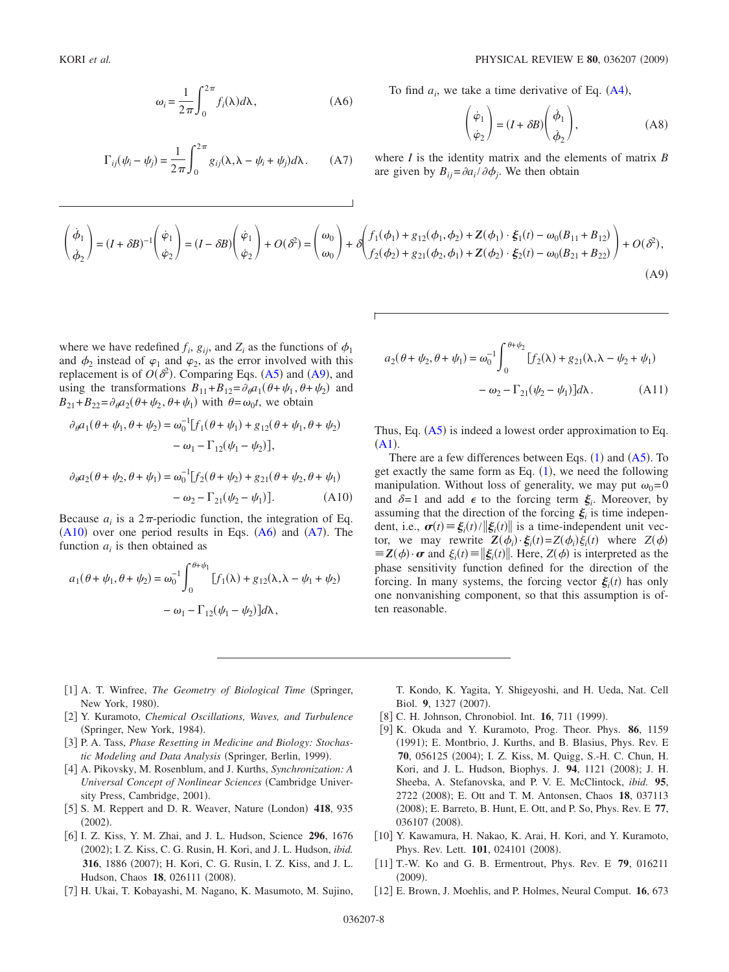$$
\omega_i = \frac{1}{2\pi} \int_0^{2\pi} f_i(\lambda) d\lambda, \qquad (A6)
$$

<span id="page-7-13"></span><span id="page-7-12"></span>
$$
\Gamma_{ij}(\psi_i - \psi_j) = \frac{1}{2\pi} \int_0^{2\pi} g_{ij}(\lambda, \lambda - \psi_i + \psi_j) d\lambda.
$$
 (A7)

To find  $a_i$ , we take a time derivative of Eq.  $(A4)$  $(A4)$  $(A4)$ ,

$$
\begin{pmatrix} \dot{\varphi}_1 \\ \dot{\varphi}_2 \end{pmatrix} = (I + \delta B) \begin{pmatrix} \dot{\phi}_1 \\ \dot{\phi}_2 \end{pmatrix},
$$
 (A8)

where *I* is the identity matrix and the elements of matrix *B* are given by  $B_{ij} = \frac{\partial a_i}{\partial \phi_j}$ . We then obtain

<span id="page-7-10"></span>
$$
\begin{pmatrix} \dot{\phi}_1 \\ \dot{\phi}_2 \end{pmatrix} = (I + \delta B)^{-1} \begin{pmatrix} \dot{\phi}_1 \\ \dot{\phi}_2 \end{pmatrix} = (I - \delta B) \begin{pmatrix} \dot{\phi}_1 \\ \dot{\phi}_2 \end{pmatrix} + O(\delta^2) = \begin{pmatrix} \omega_0 \\ \omega_0 \end{pmatrix} + \delta \begin{pmatrix} f_1(\phi_1) + g_{12}(\phi_1, \phi_2) + Z(\phi_1) \cdot \xi_1(t) - \omega_0(B_{11} + B_{12}) \\ f_2(\phi_2) + g_{21}(\phi_2, \phi_1) + Z(\phi_2) \cdot \xi_2(t) - \omega_0(B_{21} + B_{22}) \end{pmatrix} + O(\delta^2),
$$
\n(A9)

where we have redefined  $f_i$ ,  $g_{ij}$ , and  $Z_i$  as the functions of  $\phi_1$ and  $\phi_2$  instead of  $\varphi_1$  and  $\varphi_2$ , as the error involved with this replacement is of  $O(\delta^2)$ . Comparing Eqs. ([A5](#page-6-4)) and ([A9](#page-7-10)), and using the transformations  $B_{11} + B_{12} = \partial_{\theta} a_1(\theta + \psi_1, \theta + \psi_2)$  and  $B_{21} + B_{22} = \partial_{\theta} a_2 (\theta + \psi_2, \theta + \psi_1)$  with  $\theta = \omega_0 t$ , we obtain

<span id="page-7-11"></span>
$$
\partial_{\theta} a_1(\theta + \psi_1, \theta + \psi_2) = \omega_0^{-1} [f_1(\theta + \psi_1) + g_{12}(\theta + \psi_1, \theta + \psi_2) - \omega_1 - \Gamma_{12}(\psi_1 - \psi_2)],
$$

$$
\partial_{\theta} a_2(\theta + \psi_2, \theta + \psi_1) = \omega_0^{-1} [f_2(\theta + \psi_2) + g_{21}(\theta + \psi_2, \theta + \psi_1) - \omega_2 - \Gamma_{21}(\psi_2 - \psi_1)]. \tag{A10}
$$

Because  $a_i$  is a  $2\pi$ -periodic function, the integration of Eq.  $(A10)$  $(A10)$  $(A10)$  over one period results in Eqs.  $(A6)$  $(A6)$  $(A6)$  and  $(A7)$  $(A7)$  $(A7)$ . The function *ai* is then obtained as

$$
a_1(\theta + \psi_1, \theta + \psi_2) = \omega_0^{-1} \int_0^{\theta + \psi_1} [f_1(\lambda) + g_{12}(\lambda, \lambda - \psi_1 + \psi_2)
$$

$$
- \omega_1 - \Gamma_{12}(\psi_1 - \psi_2)]d\lambda,
$$

$$
a_2(\theta + \psi_2, \theta + \psi_1) = \omega_0^{-1} \int_0^{\theta + \psi_2} [f_2(\lambda) + g_{21}(\lambda, \lambda - \psi_2 + \psi_1) - \omega_2 - \Gamma_{21}(\psi_2 - \psi_1)] d\lambda.
$$
 (A11)

Thus, Eq. ([A5](#page-6-4)) is indeed a lowest order approximation to Eq.  $(A1).$  $(A1).$  $(A1).$ 

There are a few differences between Eqs.  $(1)$  $(1)$  $(1)$  and  $(A5)$  $(A5)$  $(A5)$ . To get exactly the same form as Eq.  $(1)$  $(1)$  $(1)$ , we need the following manipulation. Without loss of generality, we may put  $\omega_0 = 0$ and  $\delta = 1$  and add  $\epsilon$  to the forcing term  $\xi_i$ . Moreover, by assuming that the direction of the forcing  $\xi$  is time independent, i.e.,  $\boldsymbol{\sigma}(t) \equiv \xi_i(t) / ||\xi_i(t)||$  is a time-independent unit vector, we may rewrite  $Z(\phi_i) \cdot \xi_i(t) = Z(\phi_i) \xi_i(t)$  where  $Z(\phi)$  $\mathbf{Z}(\phi) \cdot \boldsymbol{\sigma}$  and  $\xi_i(t) \equiv \|\xi_i(t)\|$ . Here,  $Z(\phi)$  is interpreted as the phase sensitivity function defined for the direction of the forcing. In many systems, the forcing vector  $\xi_i(t)$  has only one nonvanishing component, so that this assumption is often reasonable.

- <span id="page-7-0"></span>[1] A. T. Winfree, *The Geometry of Biological Time* (Springer, New York, 1980).
- <span id="page-7-8"></span>2 Y. Kuramoto, *Chemical Oscillations, Waves, and Turbulence* (Springer, New York, 1984).
- 3 P. A. Tass, *Phase Resetting in Medicine and Biology: Stochas*tic Modeling and Data Analysis (Springer, Berlin, 1999).
- 4 A. Pikovsky, M. Rosenblum, and J. Kurths, *Synchronization: A Universal Concept of Nonlinear Sciences* Cambridge University Press, Cambridge, 2001).
- <span id="page-7-1"></span>[5] S. M. Reppert and D. R. Weaver, Nature (London) 418, 935  $(2002).$
- <span id="page-7-2"></span>6 I. Z. Kiss, Y. M. Zhai, and J. L. Hudson, Science **296**, 1676 (2002); I. Z. Kiss, C. G. Rusin, H. Kori, and J. L. Hudson, *ibid*. 316, 1886 (2007); H. Kori, C. G. Rusin, I. Z. Kiss, and J. L. Hudson, Chaos 18, 026111 (2008).
- <span id="page-7-3"></span>7 H. Ukai, T. Kobayashi, M. Nagano, K. Masumoto, M. Sujino,

T. Kondo, K. Yagita, Y. Shigeyoshi, and H. Ueda, Nat. Cell Biol. 9, 1327 (2007).

- <span id="page-7-4"></span>[8] C. H. Johnson, Chronobiol. Int. **16**, 711 (1999).
- <span id="page-7-5"></span>9 K. Okuda and Y. Kuramoto, Prog. Theor. Phys. **86**, 1159 (1991); E. Montbrio, J. Kurths, and B. Blasius, Phys. Rev. E 70, 056125 (2004); I. Z. Kiss, M. Quigg, S.-H. C. Chun, H. Kori, and J. L. Hudson, Biophys. J. 94, 1121 (2008); J. H. Sheeba, A. Stefanovska, and P. V. E. McClintock, *ibid.* **95**, 2722 (2008); E. Ott and T. M. Antonsen, Chaos 18, 037113 (2008); E. Barreto, B. Hunt, E. Ott, and P. So, Phys. Rev. E 77, 036107 (2008).
- <span id="page-7-6"></span>[10] Y. Kawamura, H. Nakao, K. Arai, H. Kori, and Y. Kuramoto, Phys. Rev. Lett. 101, 024101 (2008).
- <span id="page-7-7"></span>11 T.-W. Ko and G. B. Ermentrout, Phys. Rev. E **79**, 016211  $(2009).$
- <span id="page-7-9"></span>12 E. Brown, J. Moehlis, and P. Holmes, Neural Comput. **16**, 673